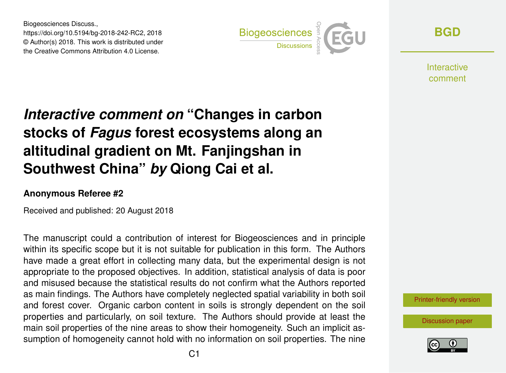Biogeosciences Discuss., https://doi.org/10.5194/bg-2018-242-RC2, 2018 © Author(s) 2018. This work is distributed under the Creative Commons Attribution 4.0 License.



**[BGD](https://www.biogeosciences-discuss.net/)**

**Interactive** comment

## *Interactive comment on* **"Changes in carbon stocks of** *Fagus* **forest ecosystems along an altitudinal gradient on Mt. Fanjingshan in Southwest China"** *by* **Qiong Cai et al.**

## **Anonymous Referee #2**

Received and published: 20 August 2018

The manuscript could a contribution of interest for Biogeosciences and in principle within its specific scope but it is not suitable for publication in this form. The Authors have made a great effort in collecting many data, but the experimental design is not appropriate to the proposed objectives. In addition, statistical analysis of data is poor and misused because the statistical results do not confirm what the Authors reported as main findings. The Authors have completely neglected spatial variability in both soil and forest cover. Organic carbon content in soils is strongly dependent on the soil properties and particularly, on soil texture. The Authors should provide at least the main soil properties of the nine areas to show their homogeneity. Such an implicit assumption of homogeneity cannot hold with no information on soil properties. The nine

[Printer-friendly version](https://www.biogeosciences-discuss.net/bg-2018-242/bg-2018-242-RC2-print.pdf)

[Discussion paper](https://www.biogeosciences-discuss.net/bg-2018-242)